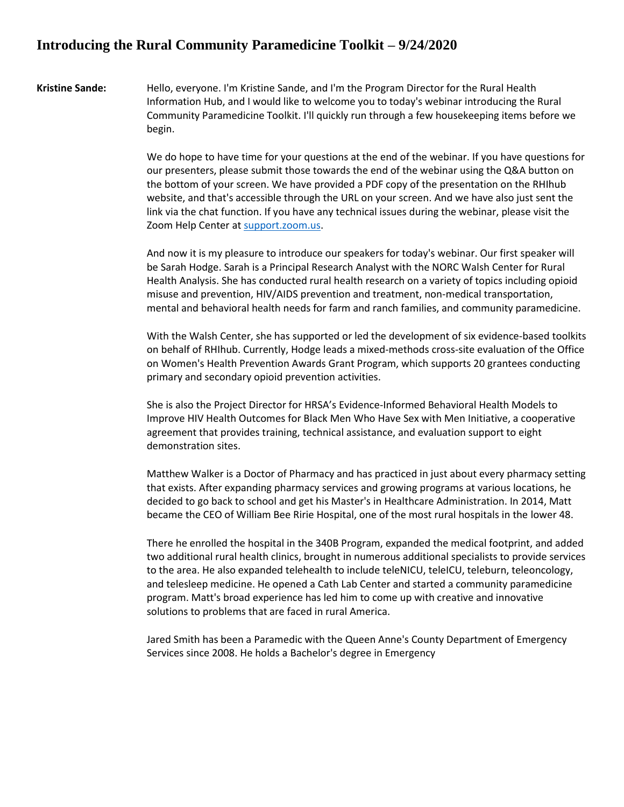## **Introducing the Rural Community Paramedicine Toolkit – 9/24/2020**

**Kristine Sande:** Hello, everyone. I'm Kristine Sande, and I'm the Program Director for the Rural Health Information Hub, and I would like to welcome you to today's webinar introducing the Rural Community Paramedicine Toolkit. I'll quickly run through a few housekeeping items before we begin.

> We do hope to have time for your questions at the end of the webinar. If you have questions for our presenters, please submit those towards the end of the webinar using the Q&A button on the bottom of your screen. We have provided a PDF copy of the presentation on the RHIhub website, and that's accessible through the URL on your screen. And we have also just sent the link via the chat function. If you have any technical issues during the webinar, please visit the Zoom Help Center at [support.zoom.us.](file:///C:/Users/kim.dickman/Desktop/In%20Progress/support.zoom.us)

And now it is my pleasure to introduce our speakers for today's webinar. Our first speaker will be Sarah Hodge. Sarah is a Principal Research Analyst with the NORC Walsh Center for Rural Health Analysis. She has conducted rural health research on a variety of topics including opioid misuse and prevention, HIV/AIDS prevention and treatment, non-medical transportation, mental and behavioral health needs for farm and ranch families, and community paramedicine.

With the Walsh Center, she has supported or led the development of six evidence-based toolkits on behalf of RHIhub. Currently, Hodge leads a mixed-methods cross-site evaluation of the Office on Women's Health Prevention Awards Grant Program, which supports 20 grantees conducting primary and secondary opioid prevention activities.

She is also the Project Director for HRSA's Evidence-Informed Behavioral Health Models to Improve HIV Health Outcomes for Black Men Who Have Sex with Men Initiative, a cooperative agreement that provides training, technical assistance, and evaluation support to eight demonstration sites.

Matthew Walker is a Doctor of Pharmacy and has practiced in just about every pharmacy setting that exists. After expanding pharmacy services and growing programs at various locations, he decided to go back to school and get his Master's in Healthcare Administration. In 2014, Matt became the CEO of William Bee Ririe Hospital, one of the most rural hospitals in the lower 48.

There he enrolled the hospital in the 340B Program, expanded the medical footprint, and added two additional rural health clinics, brought in numerous additional specialists to provide services to the area. He also expanded telehealth to include teleNICU, teleICU, teleburn, teleoncology, and telesleep medicine. He opened a Cath Lab Center and started a community paramedicine program. Matt's broad experience has led him to come up with creative and innovative solutions to problems that are faced in rural America.

Jared Smith has been a Paramedic with the Queen Anne's County Department of Emergency Services since 2008. He holds a Bachelor's degree in Emergency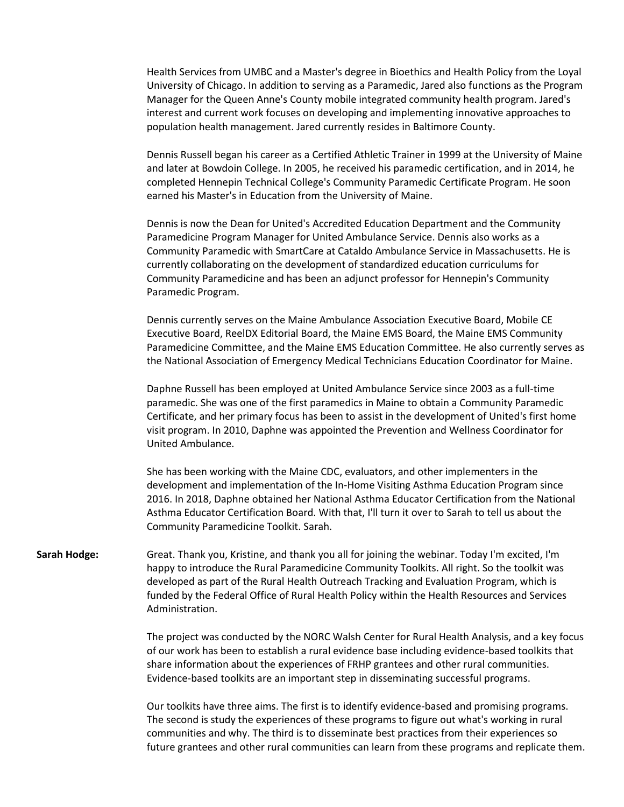Health Services from UMBC and a Master's degree in Bioethics and Health Policy from the Loyal University of Chicago. In addition to serving as a Paramedic, Jared also functions as the Program Manager for the Queen Anne's County mobile integrated community health program. Jared's interest and current work focuses on developing and implementing innovative approaches to population health management. Jared currently resides in Baltimore County.

Dennis Russell began his career as a Certified Athletic Trainer in 1999 at the University of Maine and later at Bowdoin College. In 2005, he received his paramedic certification, and in 2014, he completed Hennepin Technical College's Community Paramedic Certificate Program. He soon earned his Master's in Education from the University of Maine.

Dennis is now the Dean for United's Accredited Education Department and the Community Paramedicine Program Manager for United Ambulance Service. Dennis also works as a Community Paramedic with SmartCare at Cataldo Ambulance Service in Massachusetts. He is currently collaborating on the development of standardized education curriculums for Community Paramedicine and has been an adjunct professor for Hennepin's Community Paramedic Program.

Dennis currently serves on the Maine Ambulance Association Executive Board, Mobile CE Executive Board, ReelDX Editorial Board, the Maine EMS Board, the Maine EMS Community Paramedicine Committee, and the Maine EMS Education Committee. He also currently serves as the National Association of Emergency Medical Technicians Education Coordinator for Maine.

Daphne Russell has been employed at United Ambulance Service since 2003 as a full-time paramedic. She was one of the first paramedics in Maine to obtain a Community Paramedic Certificate, and her primary focus has been to assist in the development of United's first home visit program. In 2010, Daphne was appointed the Prevention and Wellness Coordinator for United Ambulance.

She has been working with the Maine CDC, evaluators, and other implementers in the development and implementation of the In-Home Visiting Asthma Education Program since 2016. In 2018, Daphne obtained her National Asthma Educator Certification from the National Asthma Educator Certification Board. With that, I'll turn it over to Sarah to tell us about the Community Paramedicine Toolkit. Sarah.

**Sarah Hodge:** Great. Thank you, Kristine, and thank you all for joining the webinar. Today I'm excited, I'm happy to introduce the Rural Paramedicine Community Toolkits. All right. So the toolkit was developed as part of the Rural Health Outreach Tracking and Evaluation Program, which is funded by the Federal Office of Rural Health Policy within the Health Resources and Services Administration.

> The project was conducted by the NORC Walsh Center for Rural Health Analysis, and a key focus of our work has been to establish a rural evidence base including evidence-based toolkits that share information about the experiences of FRHP grantees and other rural communities. Evidence-based toolkits are an important step in disseminating successful programs.

> Our toolkits have three aims. The first is to identify evidence-based and promising programs. The second is study the experiences of these programs to figure out what's working in rural communities and why. The third is to disseminate best practices from their experiences so future grantees and other rural communities can learn from these programs and replicate them.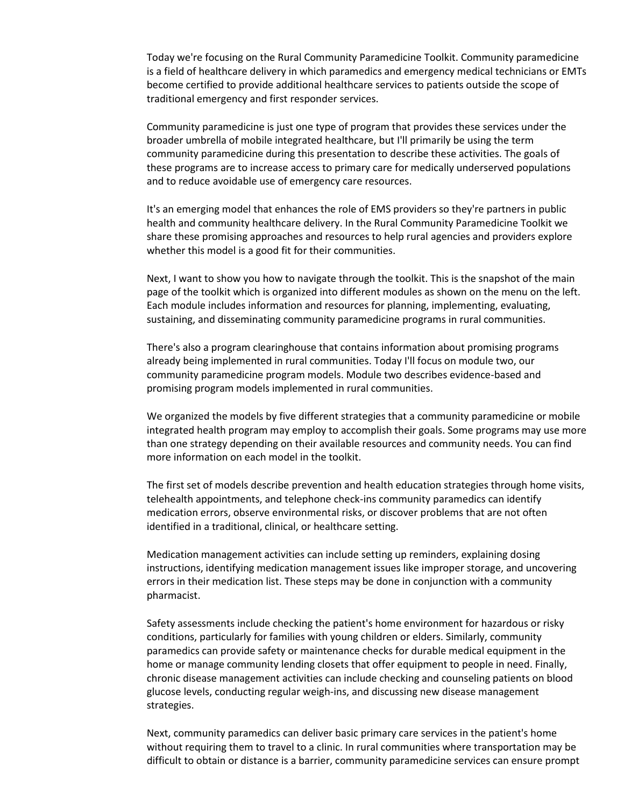Today we're focusing on the Rural Community Paramedicine Toolkit. Community paramedicine is a field of healthcare delivery in which paramedics and emergency medical technicians or EMTs become certified to provide additional healthcare services to patients outside the scope of traditional emergency and first responder services.

Community paramedicine is just one type of program that provides these services under the broader umbrella of mobile integrated healthcare, but I'll primarily be using the term community paramedicine during this presentation to describe these activities. The goals of these programs are to increase access to primary care for medically underserved populations and to reduce avoidable use of emergency care resources.

It's an emerging model that enhances the role of EMS providers so they're partners in public health and community healthcare delivery. In the Rural Community Paramedicine Toolkit we share these promising approaches and resources to help rural agencies and providers explore whether this model is a good fit for their communities.

Next, I want to show you how to navigate through the toolkit. This is the snapshot of the main page of the toolkit which is organized into different modules as shown on the menu on the left. Each module includes information and resources for planning, implementing, evaluating, sustaining, and disseminating community paramedicine programs in rural communities.

There's also a program clearinghouse that contains information about promising programs already being implemented in rural communities. Today I'll focus on module two, our community paramedicine program models. Module two describes evidence-based and promising program models implemented in rural communities.

We organized the models by five different strategies that a community paramedicine or mobile integrated health program may employ to accomplish their goals. Some programs may use more than one strategy depending on their available resources and community needs. You can find more information on each model in the toolkit.

The first set of models describe prevention and health education strategies through home visits, telehealth appointments, and telephone check-ins community paramedics can identify medication errors, observe environmental risks, or discover problems that are not often identified in a traditional, clinical, or healthcare setting.

Medication management activities can include setting up reminders, explaining dosing instructions, identifying medication management issues like improper storage, and uncovering errors in their medication list. These steps may be done in conjunction with a community pharmacist.

Safety assessments include checking the patient's home environment for hazardous or risky conditions, particularly for families with young children or elders. Similarly, community paramedics can provide safety or maintenance checks for durable medical equipment in the home or manage community lending closets that offer equipment to people in need. Finally, chronic disease management activities can include checking and counseling patients on blood glucose levels, conducting regular weigh-ins, and discussing new disease management strategies.

Next, community paramedics can deliver basic primary care services in the patient's home without requiring them to travel to a clinic. In rural communities where transportation may be difficult to obtain or distance is a barrier, community paramedicine services can ensure prompt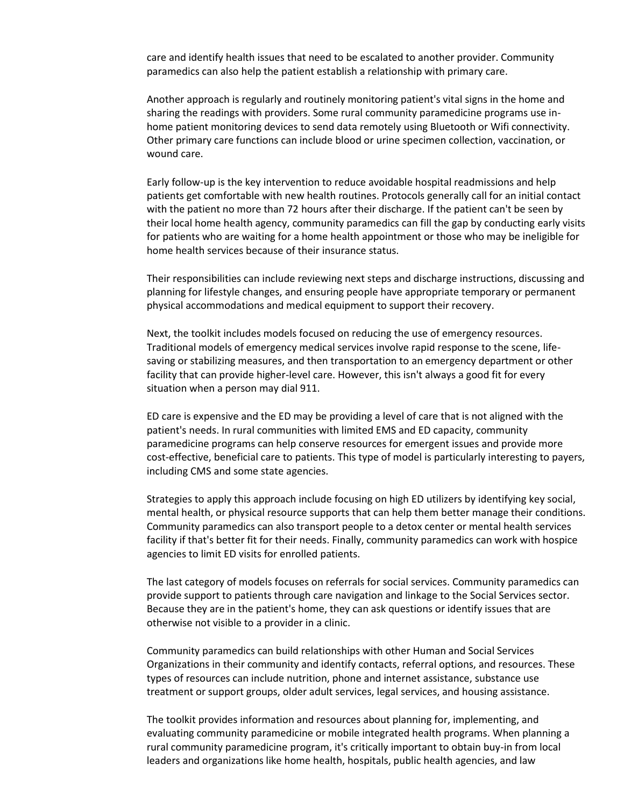care and identify health issues that need to be escalated to another provider. Community paramedics can also help the patient establish a relationship with primary care.

Another approach is regularly and routinely monitoring patient's vital signs in the home and sharing the readings with providers. Some rural community paramedicine programs use inhome patient monitoring devices to send data remotely using Bluetooth or Wifi connectivity. Other primary care functions can include blood or urine specimen collection, vaccination, or wound care.

Early follow-up is the key intervention to reduce avoidable hospital readmissions and help patients get comfortable with new health routines. Protocols generally call for an initial contact with the patient no more than 72 hours after their discharge. If the patient can't be seen by their local home health agency, community paramedics can fill the gap by conducting early visits for patients who are waiting for a home health appointment or those who may be ineligible for home health services because of their insurance status.

Their responsibilities can include reviewing next steps and discharge instructions, discussing and planning for lifestyle changes, and ensuring people have appropriate temporary or permanent physical accommodations and medical equipment to support their recovery.

Next, the toolkit includes models focused on reducing the use of emergency resources. Traditional models of emergency medical services involve rapid response to the scene, lifesaving or stabilizing measures, and then transportation to an emergency department or other facility that can provide higher-level care. However, this isn't always a good fit for every situation when a person may dial 911.

ED care is expensive and the ED may be providing a level of care that is not aligned with the patient's needs. In rural communities with limited EMS and ED capacity, community paramedicine programs can help conserve resources for emergent issues and provide more cost-effective, beneficial care to patients. This type of model is particularly interesting to payers, including CMS and some state agencies.

Strategies to apply this approach include focusing on high ED utilizers by identifying key social, mental health, or physical resource supports that can help them better manage their conditions. Community paramedics can also transport people to a detox center or mental health services facility if that's better fit for their needs. Finally, community paramedics can work with hospice agencies to limit ED visits for enrolled patients.

The last category of models focuses on referrals for social services. Community paramedics can provide support to patients through care navigation and linkage to the Social Services sector. Because they are in the patient's home, they can ask questions or identify issues that are otherwise not visible to a provider in a clinic.

Community paramedics can build relationships with other Human and Social Services Organizations in their community and identify contacts, referral options, and resources. These types of resources can include nutrition, phone and internet assistance, substance use treatment or support groups, older adult services, legal services, and housing assistance.

The toolkit provides information and resources about planning for, implementing, and evaluating community paramedicine or mobile integrated health programs. When planning a rural community paramedicine program, it's critically important to obtain buy-in from local leaders and organizations like home health, hospitals, public health agencies, and law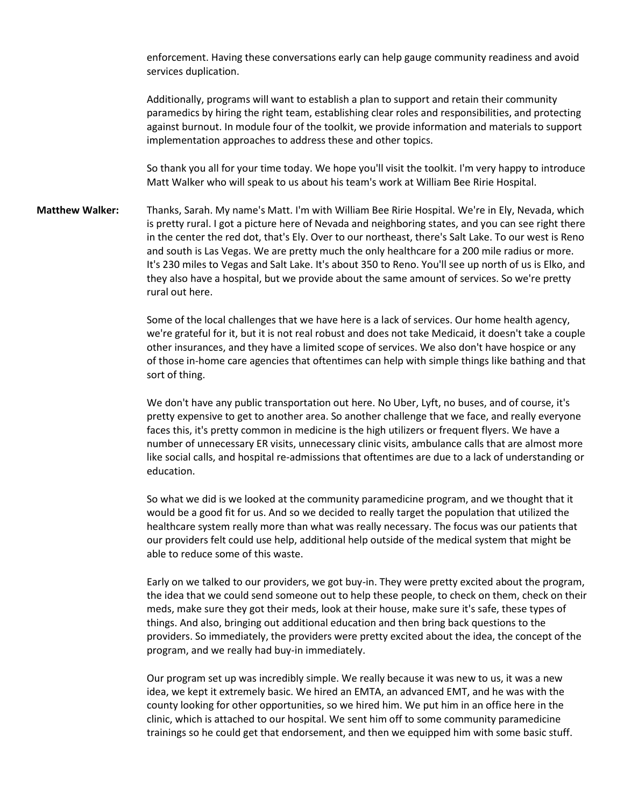enforcement. Having these conversations early can help gauge community readiness and avoid services duplication.

Additionally, programs will want to establish a plan to support and retain their community paramedics by hiring the right team, establishing clear roles and responsibilities, and protecting against burnout. In module four of the toolkit, we provide information and materials to support implementation approaches to address these and other topics.

So thank you all for your time today. We hope you'll visit the toolkit. I'm very happy to introduce Matt Walker who will speak to us about his team's work at William Bee Ririe Hospital.

**Matthew Walker:** Thanks, Sarah. My name's Matt. I'm with William Bee Ririe Hospital. We're in Ely, Nevada, which is pretty rural. I got a picture here of Nevada and neighboring states, and you can see right there in the center the red dot, that's Ely. Over to our northeast, there's Salt Lake. To our west is Reno and south is Las Vegas. We are pretty much the only healthcare for a 200 mile radius or more. It's 230 miles to Vegas and Salt Lake. It's about 350 to Reno. You'll see up north of us is Elko, and they also have a hospital, but we provide about the same amount of services. So we're pretty rural out here.

> Some of the local challenges that we have here is a lack of services. Our home health agency, we're grateful for it, but it is not real robust and does not take Medicaid, it doesn't take a couple other insurances, and they have a limited scope of services. We also don't have hospice or any of those in-home care agencies that oftentimes can help with simple things like bathing and that sort of thing.

> We don't have any public transportation out here. No Uber, Lyft, no buses, and of course, it's pretty expensive to get to another area. So another challenge that we face, and really everyone faces this, it's pretty common in medicine is the high utilizers or frequent flyers. We have a number of unnecessary ER visits, unnecessary clinic visits, ambulance calls that are almost more like social calls, and hospital re-admissions that oftentimes are due to a lack of understanding or education.

So what we did is we looked at the community paramedicine program, and we thought that it would be a good fit for us. And so we decided to really target the population that utilized the healthcare system really more than what was really necessary. The focus was our patients that our providers felt could use help, additional help outside of the medical system that might be able to reduce some of this waste.

Early on we talked to our providers, we got buy-in. They were pretty excited about the program, the idea that we could send someone out to help these people, to check on them, check on their meds, make sure they got their meds, look at their house, make sure it's safe, these types of things. And also, bringing out additional education and then bring back questions to the providers. So immediately, the providers were pretty excited about the idea, the concept of the program, and we really had buy-in immediately.

Our program set up was incredibly simple. We really because it was new to us, it was a new idea, we kept it extremely basic. We hired an EMTA, an advanced EMT, and he was with the county looking for other opportunities, so we hired him. We put him in an office here in the clinic, which is attached to our hospital. We sent him off to some community paramedicine trainings so he could get that endorsement, and then we equipped him with some basic stuff.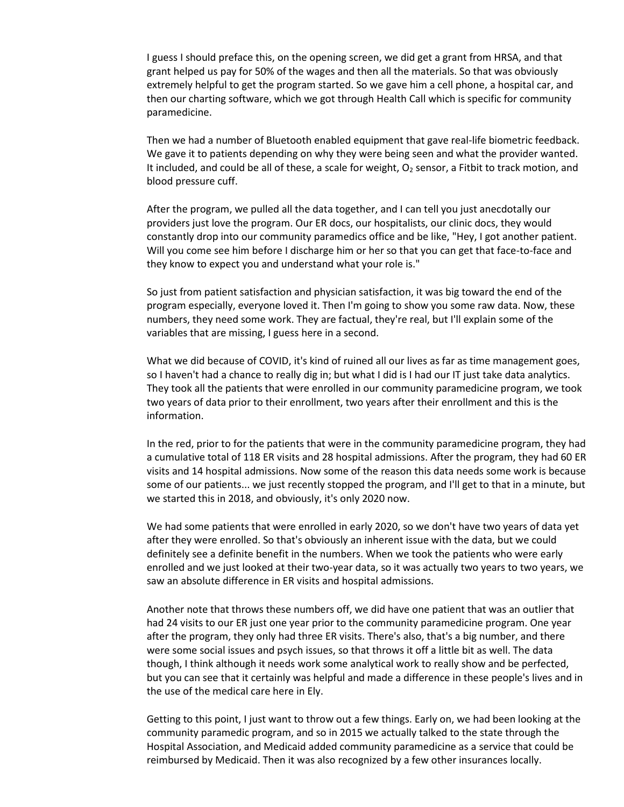I guess I should preface this, on the opening screen, we did get a grant from HRSA, and that grant helped us pay for 50% of the wages and then all the materials. So that was obviously extremely helpful to get the program started. So we gave him a cell phone, a hospital car, and then our charting software, which we got through Health Call which is specific for community paramedicine.

Then we had a number of Bluetooth enabled equipment that gave real-life biometric feedback. We gave it to patients depending on why they were being seen and what the provider wanted. It included, and could be all of these, a scale for weight,  $O<sub>2</sub>$  sensor, a Fitbit to track motion, and blood pressure cuff.

After the program, we pulled all the data together, and I can tell you just anecdotally our providers just love the program. Our ER docs, our hospitalists, our clinic docs, they would constantly drop into our community paramedics office and be like, "Hey, I got another patient. Will you come see him before I discharge him or her so that you can get that face-to-face and they know to expect you and understand what your role is."

So just from patient satisfaction and physician satisfaction, it was big toward the end of the program especially, everyone loved it. Then I'm going to show you some raw data. Now, these numbers, they need some work. They are factual, they're real, but I'll explain some of the variables that are missing, I guess here in a second.

What we did because of COVID, it's kind of ruined all our lives as far as time management goes, so I haven't had a chance to really dig in; but what I did is I had our IT just take data analytics. They took all the patients that were enrolled in our community paramedicine program, we took two years of data prior to their enrollment, two years after their enrollment and this is the information.

In the red, prior to for the patients that were in the community paramedicine program, they had a cumulative total of 118 ER visits and 28 hospital admissions. After the program, they had 60 ER visits and 14 hospital admissions. Now some of the reason this data needs some work is because some of our patients... we just recently stopped the program, and I'll get to that in a minute, but we started this in 2018, and obviously, it's only 2020 now.

We had some patients that were enrolled in early 2020, so we don't have two years of data yet after they were enrolled. So that's obviously an inherent issue with the data, but we could definitely see a definite benefit in the numbers. When we took the patients who were early enrolled and we just looked at their two-year data, so it was actually two years to two years, we saw an absolute difference in ER visits and hospital admissions.

Another note that throws these numbers off, we did have one patient that was an outlier that had 24 visits to our ER just one year prior to the community paramedicine program. One year after the program, they only had three ER visits. There's also, that's a big number, and there were some social issues and psych issues, so that throws it off a little bit as well. The data though, I think although it needs work some analytical work to really show and be perfected, but you can see that it certainly was helpful and made a difference in these people's lives and in the use of the medical care here in Ely.

Getting to this point, I just want to throw out a few things. Early on, we had been looking at the community paramedic program, and so in 2015 we actually talked to the state through the Hospital Association, and Medicaid added community paramedicine as a service that could be reimbursed by Medicaid. Then it was also recognized by a few other insurances locally.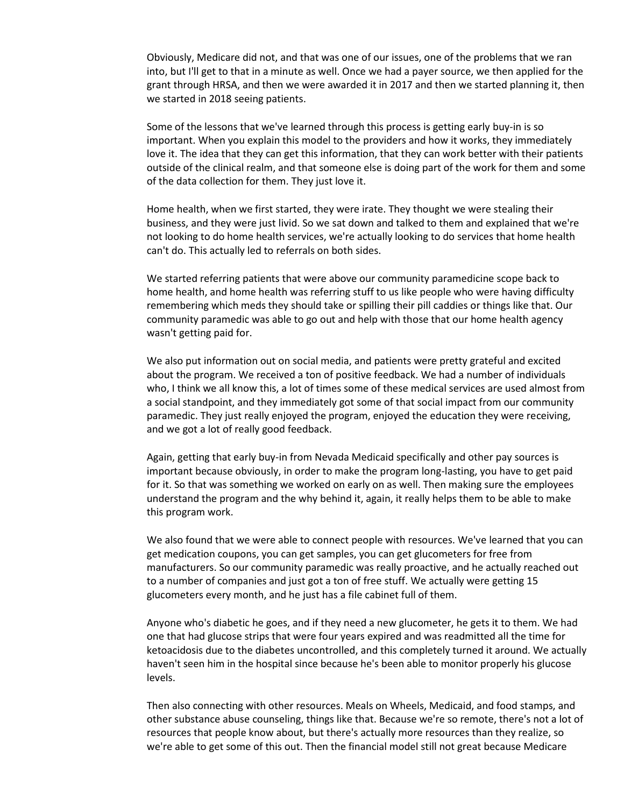Obviously, Medicare did not, and that was one of our issues, one of the problems that we ran into, but I'll get to that in a minute as well. Once we had a payer source, we then applied for the grant through HRSA, and then we were awarded it in 2017 and then we started planning it, then we started in 2018 seeing patients.

Some of the lessons that we've learned through this process is getting early buy-in is so important. When you explain this model to the providers and how it works, they immediately love it. The idea that they can get this information, that they can work better with their patients outside of the clinical realm, and that someone else is doing part of the work for them and some of the data collection for them. They just love it.

Home health, when we first started, they were irate. They thought we were stealing their business, and they were just livid. So we sat down and talked to them and explained that we're not looking to do home health services, we're actually looking to do services that home health can't do. This actually led to referrals on both sides.

We started referring patients that were above our community paramedicine scope back to home health, and home health was referring stuff to us like people who were having difficulty remembering which meds they should take or spilling their pill caddies or things like that. Our community paramedic was able to go out and help with those that our home health agency wasn't getting paid for.

We also put information out on social media, and patients were pretty grateful and excited about the program. We received a ton of positive feedback. We had a number of individuals who, I think we all know this, a lot of times some of these medical services are used almost from a social standpoint, and they immediately got some of that social impact from our community paramedic. They just really enjoyed the program, enjoyed the education they were receiving, and we got a lot of really good feedback.

Again, getting that early buy-in from Nevada Medicaid specifically and other pay sources is important because obviously, in order to make the program long-lasting, you have to get paid for it. So that was something we worked on early on as well. Then making sure the employees understand the program and the why behind it, again, it really helps them to be able to make this program work.

We also found that we were able to connect people with resources. We've learned that you can get medication coupons, you can get samples, you can get glucometers for free from manufacturers. So our community paramedic was really proactive, and he actually reached out to a number of companies and just got a ton of free stuff. We actually were getting 15 glucometers every month, and he just has a file cabinet full of them.

Anyone who's diabetic he goes, and if they need a new glucometer, he gets it to them. We had one that had glucose strips that were four years expired and was readmitted all the time for ketoacidosis due to the diabetes uncontrolled, and this completely turned it around. We actually haven't seen him in the hospital since because he's been able to monitor properly his glucose levels.

Then also connecting with other resources. Meals on Wheels, Medicaid, and food stamps, and other substance abuse counseling, things like that. Because we're so remote, there's not a lot of resources that people know about, but there's actually more resources than they realize, so we're able to get some of this out. Then the financial model still not great because Medicare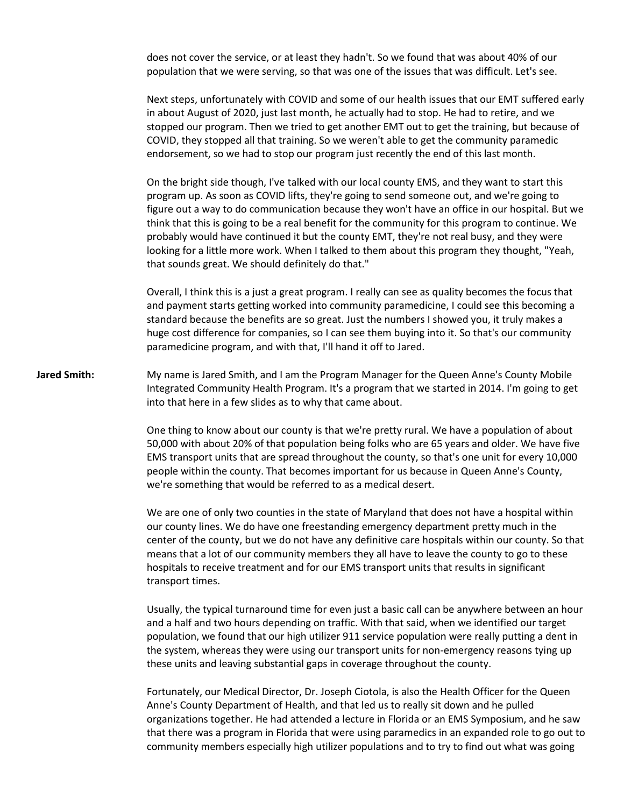does not cover the service, or at least they hadn't. So we found that was about 40% of our population that we were serving, so that was one of the issues that was difficult. Let's see.

Next steps, unfortunately with COVID and some of our health issues that our EMT suffered early in about August of 2020, just last month, he actually had to stop. He had to retire, and we stopped our program. Then we tried to get another EMT out to get the training, but because of COVID, they stopped all that training. So we weren't able to get the community paramedic endorsement, so we had to stop our program just recently the end of this last month.

On the bright side though, I've talked with our local county EMS, and they want to start this program up. As soon as COVID lifts, they're going to send someone out, and we're going to figure out a way to do communication because they won't have an office in our hospital. But we think that this is going to be a real benefit for the community for this program to continue. We probably would have continued it but the county EMT, they're not real busy, and they were looking for a little more work. When I talked to them about this program they thought, "Yeah, that sounds great. We should definitely do that."

Overall, I think this is a just a great program. I really can see as quality becomes the focus that and payment starts getting worked into community paramedicine, I could see this becoming a standard because the benefits are so great. Just the numbers I showed you, it truly makes a huge cost difference for companies, so I can see them buying into it. So that's our community paramedicine program, and with that, I'll hand it off to Jared.

**Jared Smith:** My name is Jared Smith, and I am the Program Manager for the Queen Anne's County Mobile Integrated Community Health Program. It's a program that we started in 2014. I'm going to get into that here in a few slides as to why that came about.

> One thing to know about our county is that we're pretty rural. We have a population of about 50,000 with about 20% of that population being folks who are 65 years and older. We have five EMS transport units that are spread throughout the county, so that's one unit for every 10,000 people within the county. That becomes important for us because in Queen Anne's County, we're something that would be referred to as a medical desert.

We are one of only two counties in the state of Maryland that does not have a hospital within our county lines. We do have one freestanding emergency department pretty much in the center of the county, but we do not have any definitive care hospitals within our county. So that means that a lot of our community members they all have to leave the county to go to these hospitals to receive treatment and for our EMS transport units that results in significant transport times.

Usually, the typical turnaround time for even just a basic call can be anywhere between an hour and a half and two hours depending on traffic. With that said, when we identified our target population, we found that our high utilizer 911 service population were really putting a dent in the system, whereas they were using our transport units for non-emergency reasons tying up these units and leaving substantial gaps in coverage throughout the county.

Fortunately, our Medical Director, Dr. Joseph Ciotola, is also the Health Officer for the Queen Anne's County Department of Health, and that led us to really sit down and he pulled organizations together. He had attended a lecture in Florida or an EMS Symposium, and he saw that there was a program in Florida that were using paramedics in an expanded role to go out to community members especially high utilizer populations and to try to find out what was going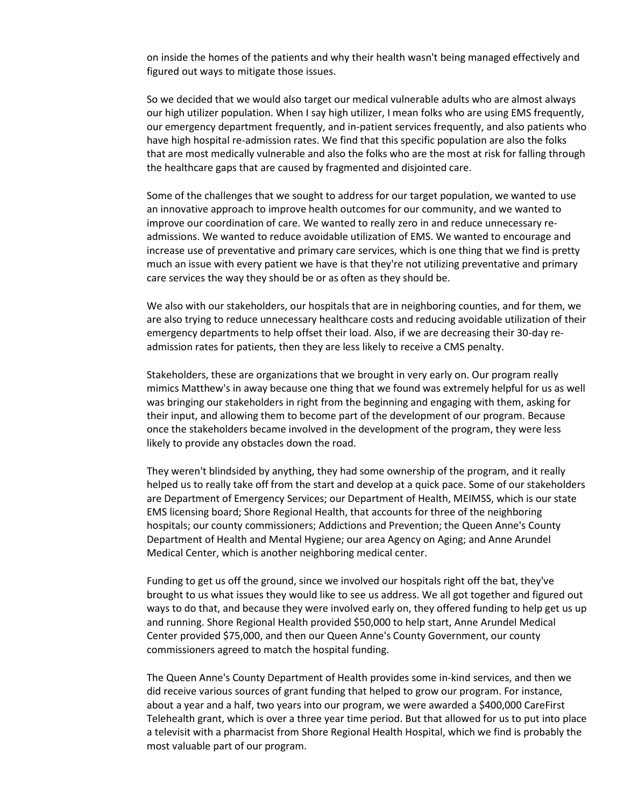on inside the homes of the patients and why their health wasn't being managed effectively and figured out ways to mitigate those issues.

So we decided that we would also target our medical vulnerable adults who are almost always our high utilizer population. When I say high utilizer, I mean folks who are using EMS frequently, our emergency department frequently, and in-patient services frequently, and also patients who have high hospital re-admission rates. We find that this specific population are also the folks that are most medically vulnerable and also the folks who are the most at risk for falling through the healthcare gaps that are caused by fragmented and disjointed care.

Some of the challenges that we sought to address for our target population, we wanted to use an innovative approach to improve health outcomes for our community, and we wanted to improve our coordination of care. We wanted to really zero in and reduce unnecessary readmissions. We wanted to reduce avoidable utilization of EMS. We wanted to encourage and increase use of preventative and primary care services, which is one thing that we find is pretty much an issue with every patient we have is that they're not utilizing preventative and primary care services the way they should be or as often as they should be.

We also with our stakeholders, our hospitals that are in neighboring counties, and for them, we are also trying to reduce unnecessary healthcare costs and reducing avoidable utilization of their emergency departments to help offset their load. Also, if we are decreasing their 30-day readmission rates for patients, then they are less likely to receive a CMS penalty.

Stakeholders, these are organizations that we brought in very early on. Our program really mimics Matthew's in away because one thing that we found was extremely helpful for us as well was bringing our stakeholders in right from the beginning and engaging with them, asking for their input, and allowing them to become part of the development of our program. Because once the stakeholders became involved in the development of the program, they were less likely to provide any obstacles down the road.

They weren't blindsided by anything, they had some ownership of the program, and it really helped us to really take off from the start and develop at a quick pace. Some of our stakeholders are Department of Emergency Services; our Department of Health, MEIMSS, which is our state EMS licensing board; Shore Regional Health, that accounts for three of the neighboring hospitals; our county commissioners; Addictions and Prevention; the Queen Anne's County Department of Health and Mental Hygiene; our area Agency on Aging; and Anne Arundel Medical Center, which is another neighboring medical center.

Funding to get us off the ground, since we involved our hospitals right off the bat, they've brought to us what issues they would like to see us address. We all got together and figured out ways to do that, and because they were involved early on, they offered funding to help get us up and running. Shore Regional Health provided \$50,000 to help start, Anne Arundel Medical Center provided \$75,000, and then our Queen Anne's County Government, our county commissioners agreed to match the hospital funding.

The Queen Anne's County Department of Health provides some in-kind services, and then we did receive various sources of grant funding that helped to grow our program. For instance, about a year and a half, two years into our program, we were awarded a \$400,000 CareFirst Telehealth grant, which is over a three year time period. But that allowed for us to put into place a televisit with a pharmacist from Shore Regional Health Hospital, which we find is probably the most valuable part of our program.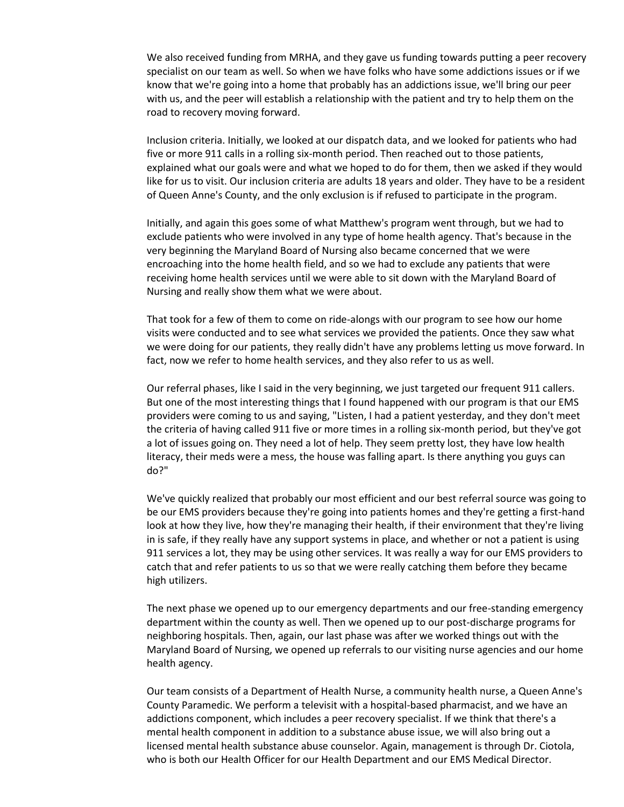We also received funding from MRHA, and they gave us funding towards putting a peer recovery specialist on our team as well. So when we have folks who have some addictions issues or if we know that we're going into a home that probably has an addictions issue, we'll bring our peer with us, and the peer will establish a relationship with the patient and try to help them on the road to recovery moving forward.

Inclusion criteria. Initially, we looked at our dispatch data, and we looked for patients who had five or more 911 calls in a rolling six-month period. Then reached out to those patients, explained what our goals were and what we hoped to do for them, then we asked if they would like for us to visit. Our inclusion criteria are adults 18 years and older. They have to be a resident of Queen Anne's County, and the only exclusion is if refused to participate in the program.

Initially, and again this goes some of what Matthew's program went through, but we had to exclude patients who were involved in any type of home health agency. That's because in the very beginning the Maryland Board of Nursing also became concerned that we were encroaching into the home health field, and so we had to exclude any patients that were receiving home health services until we were able to sit down with the Maryland Board of Nursing and really show them what we were about.

That took for a few of them to come on ride-alongs with our program to see how our home visits were conducted and to see what services we provided the patients. Once they saw what we were doing for our patients, they really didn't have any problems letting us move forward. In fact, now we refer to home health services, and they also refer to us as well.

Our referral phases, like I said in the very beginning, we just targeted our frequent 911 callers. But one of the most interesting things that I found happened with our program is that our EMS providers were coming to us and saying, "Listen, I had a patient yesterday, and they don't meet the criteria of having called 911 five or more times in a rolling six-month period, but they've got a lot of issues going on. They need a lot of help. They seem pretty lost, they have low health literacy, their meds were a mess, the house was falling apart. Is there anything you guys can do?"

We've quickly realized that probably our most efficient and our best referral source was going to be our EMS providers because they're going into patients homes and they're getting a first-hand look at how they live, how they're managing their health, if their environment that they're living in is safe, if they really have any support systems in place, and whether or not a patient is using 911 services a lot, they may be using other services. It was really a way for our EMS providers to catch that and refer patients to us so that we were really catching them before they became high utilizers.

The next phase we opened up to our emergency departments and our free-standing emergency department within the county as well. Then we opened up to our post-discharge programs for neighboring hospitals. Then, again, our last phase was after we worked things out with the Maryland Board of Nursing, we opened up referrals to our visiting nurse agencies and our home health agency.

Our team consists of a Department of Health Nurse, a community health nurse, a Queen Anne's County Paramedic. We perform a televisit with a hospital-based pharmacist, and we have an addictions component, which includes a peer recovery specialist. If we think that there's a mental health component in addition to a substance abuse issue, we will also bring out a licensed mental health substance abuse counselor. Again, management is through Dr. Ciotola, who is both our Health Officer for our Health Department and our EMS Medical Director.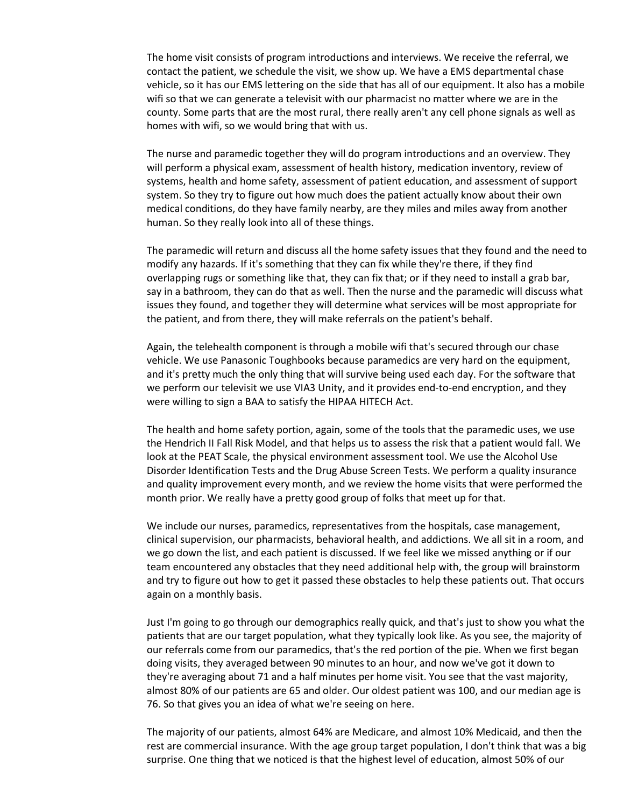The home visit consists of program introductions and interviews. We receive the referral, we contact the patient, we schedule the visit, we show up. We have a EMS departmental chase vehicle, so it has our EMS lettering on the side that has all of our equipment. It also has a mobile wifi so that we can generate a televisit with our pharmacist no matter where we are in the county. Some parts that are the most rural, there really aren't any cell phone signals as well as homes with wifi, so we would bring that with us.

The nurse and paramedic together they will do program introductions and an overview. They will perform a physical exam, assessment of health history, medication inventory, review of systems, health and home safety, assessment of patient education, and assessment of support system. So they try to figure out how much does the patient actually know about their own medical conditions, do they have family nearby, are they miles and miles away from another human. So they really look into all of these things.

The paramedic will return and discuss all the home safety issues that they found and the need to modify any hazards. If it's something that they can fix while they're there, if they find overlapping rugs or something like that, they can fix that; or if they need to install a grab bar, say in a bathroom, they can do that as well. Then the nurse and the paramedic will discuss what issues they found, and together they will determine what services will be most appropriate for the patient, and from there, they will make referrals on the patient's behalf.

Again, the telehealth component is through a mobile wifi that's secured through our chase vehicle. We use Panasonic Toughbooks because paramedics are very hard on the equipment, and it's pretty much the only thing that will survive being used each day. For the software that we perform our televisit we use VIA3 Unity, and it provides end-to-end encryption, and they were willing to sign a BAA to satisfy the HIPAA HITECH Act.

The health and home safety portion, again, some of the tools that the paramedic uses, we use the Hendrich II Fall Risk Model, and that helps us to assess the risk that a patient would fall. We look at the PEAT Scale, the physical environment assessment tool. We use the Alcohol Use Disorder Identification Tests and the Drug Abuse Screen Tests. We perform a quality insurance and quality improvement every month, and we review the home visits that were performed the month prior. We really have a pretty good group of folks that meet up for that.

We include our nurses, paramedics, representatives from the hospitals, case management, clinical supervision, our pharmacists, behavioral health, and addictions. We all sit in a room, and we go down the list, and each patient is discussed. If we feel like we missed anything or if our team encountered any obstacles that they need additional help with, the group will brainstorm and try to figure out how to get it passed these obstacles to help these patients out. That occurs again on a monthly basis.

Just I'm going to go through our demographics really quick, and that's just to show you what the patients that are our target population, what they typically look like. As you see, the majority of our referrals come from our paramedics, that's the red portion of the pie. When we first began doing visits, they averaged between 90 minutes to an hour, and now we've got it down to they're averaging about 71 and a half minutes per home visit. You see that the vast majority, almost 80% of our patients are 65 and older. Our oldest patient was 100, and our median age is 76. So that gives you an idea of what we're seeing on here.

The majority of our patients, almost 64% are Medicare, and almost 10% Medicaid, and then the rest are commercial insurance. With the age group target population, I don't think that was a big surprise. One thing that we noticed is that the highest level of education, almost 50% of our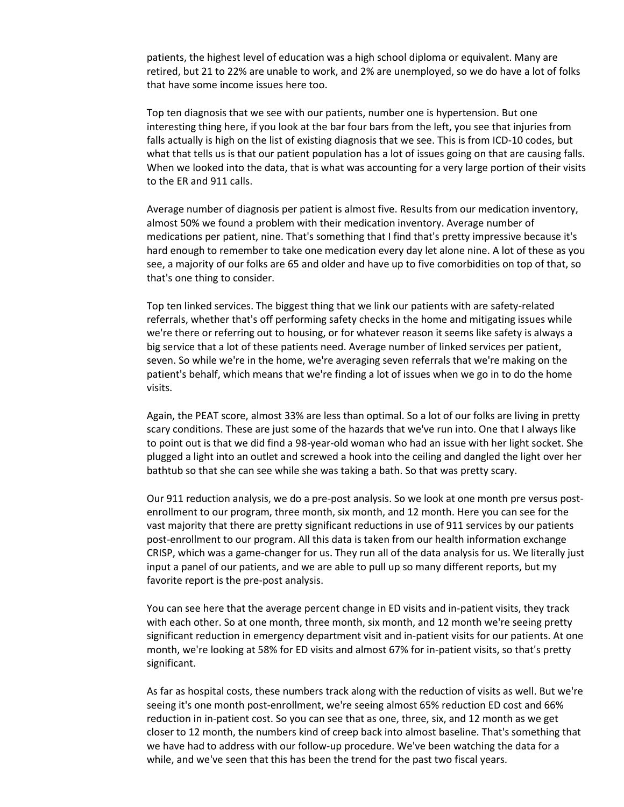patients, the highest level of education was a high school diploma or equivalent. Many are retired, but 21 to 22% are unable to work, and 2% are unemployed, so we do have a lot of folks that have some income issues here too.

Top ten diagnosis that we see with our patients, number one is hypertension. But one interesting thing here, if you look at the bar four bars from the left, you see that injuries from falls actually is high on the list of existing diagnosis that we see. This is from ICD-10 codes, but what that tells us is that our patient population has a lot of issues going on that are causing falls. When we looked into the data, that is what was accounting for a very large portion of their visits to the ER and 911 calls.

Average number of diagnosis per patient is almost five. Results from our medication inventory, almost 50% we found a problem with their medication inventory. Average number of medications per patient, nine. That's something that I find that's pretty impressive because it's hard enough to remember to take one medication every day let alone nine. A lot of these as you see, a majority of our folks are 65 and older and have up to five comorbidities on top of that, so that's one thing to consider.

Top ten linked services. The biggest thing that we link our patients with are safety-related referrals, whether that's off performing safety checks in the home and mitigating issues while we're there or referring out to housing, or for whatever reason it seems like safety is always a big service that a lot of these patients need. Average number of linked services per patient, seven. So while we're in the home, we're averaging seven referrals that we're making on the patient's behalf, which means that we're finding a lot of issues when we go in to do the home visits.

Again, the PEAT score, almost 33% are less than optimal. So a lot of our folks are living in pretty scary conditions. These are just some of the hazards that we've run into. One that I always like to point out is that we did find a 98-year-old woman who had an issue with her light socket. She plugged a light into an outlet and screwed a hook into the ceiling and dangled the light over her bathtub so that she can see while she was taking a bath. So that was pretty scary.

Our 911 reduction analysis, we do a pre-post analysis. So we look at one month pre versus postenrollment to our program, three month, six month, and 12 month. Here you can see for the vast majority that there are pretty significant reductions in use of 911 services by our patients post-enrollment to our program. All this data is taken from our health information exchange CRISP, which was a game-changer for us. They run all of the data analysis for us. We literally just input a panel of our patients, and we are able to pull up so many different reports, but my favorite report is the pre-post analysis.

You can see here that the average percent change in ED visits and in-patient visits, they track with each other. So at one month, three month, six month, and 12 month we're seeing pretty significant reduction in emergency department visit and in-patient visits for our patients. At one month, we're looking at 58% for ED visits and almost 67% for in-patient visits, so that's pretty significant.

As far as hospital costs, these numbers track along with the reduction of visits as well. But we're seeing it's one month post-enrollment, we're seeing almost 65% reduction ED cost and 66% reduction in in-patient cost. So you can see that as one, three, six, and 12 month as we get closer to 12 month, the numbers kind of creep back into almost baseline. That's something that we have had to address with our follow-up procedure. We've been watching the data for a while, and we've seen that this has been the trend for the past two fiscal years.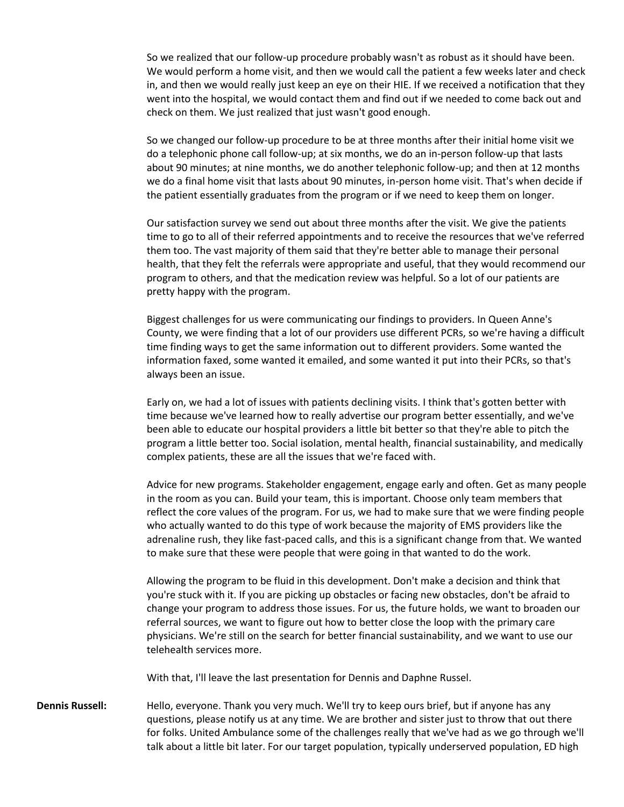So we realized that our follow-up procedure probably wasn't as robust as it should have been. We would perform a home visit, and then we would call the patient a few weeks later and check in, and then we would really just keep an eye on their HIE. If we received a notification that they went into the hospital, we would contact them and find out if we needed to come back out and check on them. We just realized that just wasn't good enough.

So we changed our follow-up procedure to be at three months after their initial home visit we do a telephonic phone call follow-up; at six months, we do an in-person follow-up that lasts about 90 minutes; at nine months, we do another telephonic follow-up; and then at 12 months we do a final home visit that lasts about 90 minutes, in-person home visit. That's when decide if the patient essentially graduates from the program or if we need to keep them on longer.

Our satisfaction survey we send out about three months after the visit. We give the patients time to go to all of their referred appointments and to receive the resources that we've referred them too. The vast majority of them said that they're better able to manage their personal health, that they felt the referrals were appropriate and useful, that they would recommend our program to others, and that the medication review was helpful. So a lot of our patients are pretty happy with the program.

Biggest challenges for us were communicating our findings to providers. In Queen Anne's County, we were finding that a lot of our providers use different PCRs, so we're having a difficult time finding ways to get the same information out to different providers. Some wanted the information faxed, some wanted it emailed, and some wanted it put into their PCRs, so that's always been an issue.

Early on, we had a lot of issues with patients declining visits. I think that's gotten better with time because we've learned how to really advertise our program better essentially, and we've been able to educate our hospital providers a little bit better so that they're able to pitch the program a little better too. Social isolation, mental health, financial sustainability, and medically complex patients, these are all the issues that we're faced with.

Advice for new programs. Stakeholder engagement, engage early and often. Get as many people in the room as you can. Build your team, this is important. Choose only team members that reflect the core values of the program. For us, we had to make sure that we were finding people who actually wanted to do this type of work because the majority of EMS providers like the adrenaline rush, they like fast-paced calls, and this is a significant change from that. We wanted to make sure that these were people that were going in that wanted to do the work.

Allowing the program to be fluid in this development. Don't make a decision and think that you're stuck with it. If you are picking up obstacles or facing new obstacles, don't be afraid to change your program to address those issues. For us, the future holds, we want to broaden our referral sources, we want to figure out how to better close the loop with the primary care physicians. We're still on the search for better financial sustainability, and we want to use our telehealth services more.

With that, I'll leave the last presentation for Dennis and Daphne Russel.

**Dennis Russell:** Hello, everyone. Thank you very much. We'll try to keep ours brief, but if anyone has any questions, please notify us at any time. We are brother and sister just to throw that out there for folks. United Ambulance some of the challenges really that we've had as we go through we'll talk about a little bit later. For our target population, typically underserved population, ED high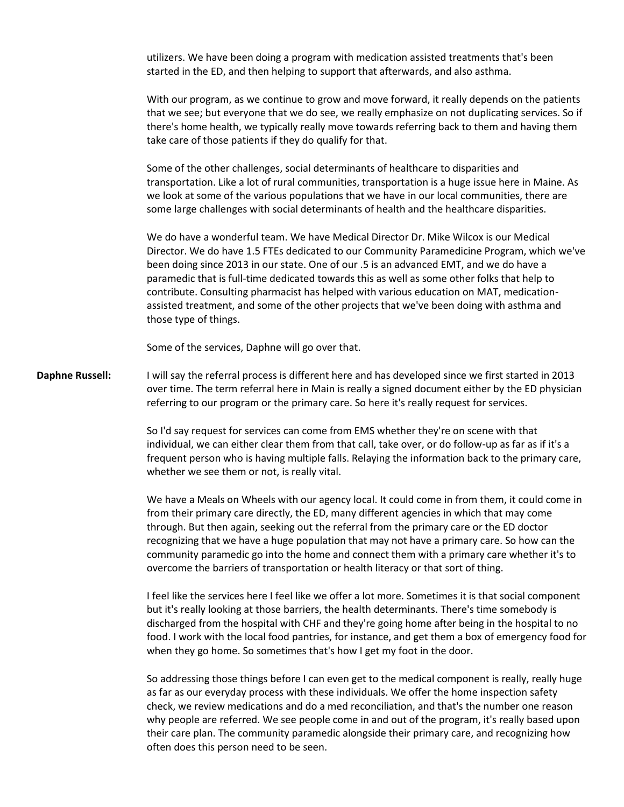utilizers. We have been doing a program with medication assisted treatments that's been started in the ED, and then helping to support that afterwards, and also asthma.

With our program, as we continue to grow and move forward, it really depends on the patients that we see; but everyone that we do see, we really emphasize on not duplicating services. So if there's home health, we typically really move towards referring back to them and having them take care of those patients if they do qualify for that.

Some of the other challenges, social determinants of healthcare to disparities and transportation. Like a lot of rural communities, transportation is a huge issue here in Maine. As we look at some of the various populations that we have in our local communities, there are some large challenges with social determinants of health and the healthcare disparities.

We do have a wonderful team. We have Medical Director Dr. Mike Wilcox is our Medical Director. We do have 1.5 FTEs dedicated to our Community Paramedicine Program, which we've been doing since 2013 in our state. One of our .5 is an advanced EMT, and we do have a paramedic that is full-time dedicated towards this as well as some other folks that help to contribute. Consulting pharmacist has helped with various education on MAT, medicationassisted treatment, and some of the other projects that we've been doing with asthma and those type of things.

Some of the services, Daphne will go over that.

**Daphne Russell:** I will say the referral process is different here and has developed since we first started in 2013 over time. The term referral here in Main is really a signed document either by the ED physician referring to our program or the primary care. So here it's really request for services.

> So I'd say request for services can come from EMS whether they're on scene with that individual, we can either clear them from that call, take over, or do follow-up as far as if it's a frequent person who is having multiple falls. Relaying the information back to the primary care, whether we see them or not, is really vital.

> We have a Meals on Wheels with our agency local. It could come in from them, it could come in from their primary care directly, the ED, many different agencies in which that may come through. But then again, seeking out the referral from the primary care or the ED doctor recognizing that we have a huge population that may not have a primary care. So how can the community paramedic go into the home and connect them with a primary care whether it's to overcome the barriers of transportation or health literacy or that sort of thing.

I feel like the services here I feel like we offer a lot more. Sometimes it is that social component but it's really looking at those barriers, the health determinants. There's time somebody is discharged from the hospital with CHF and they're going home after being in the hospital to no food. I work with the local food pantries, for instance, and get them a box of emergency food for when they go home. So sometimes that's how I get my foot in the door.

So addressing those things before I can even get to the medical component is really, really huge as far as our everyday process with these individuals. We offer the home inspection safety check, we review medications and do a med reconciliation, and that's the number one reason why people are referred. We see people come in and out of the program, it's really based upon their care plan. The community paramedic alongside their primary care, and recognizing how often does this person need to be seen.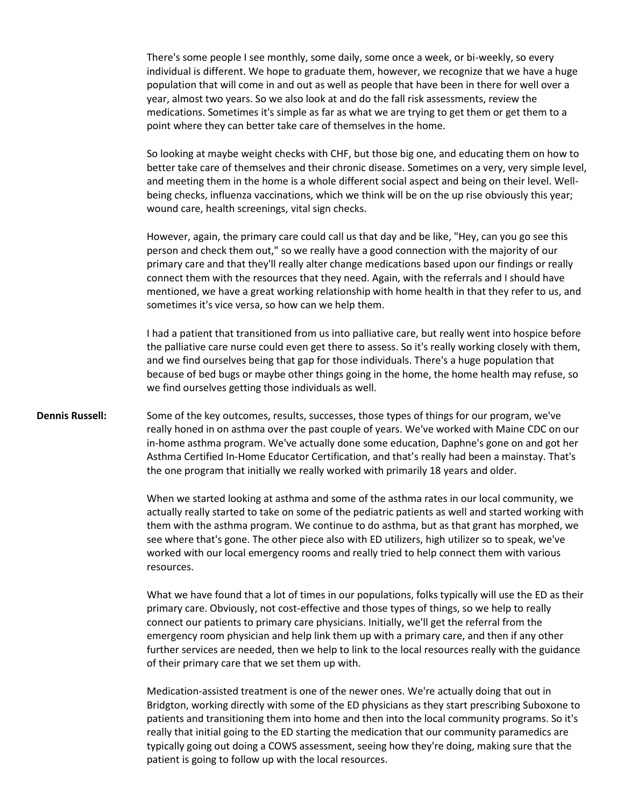There's some people I see monthly, some daily, some once a week, or bi-weekly, so every individual is different. We hope to graduate them, however, we recognize that we have a huge population that will come in and out as well as people that have been in there for well over a year, almost two years. So we also look at and do the fall risk assessments, review the medications. Sometimes it's simple as far as what we are trying to get them or get them to a point where they can better take care of themselves in the home.

So looking at maybe weight checks with CHF, but those big one, and educating them on how to better take care of themselves and their chronic disease. Sometimes on a very, very simple level, and meeting them in the home is a whole different social aspect and being on their level. Wellbeing checks, influenza vaccinations, which we think will be on the up rise obviously this year; wound care, health screenings, vital sign checks.

However, again, the primary care could call us that day and be like, "Hey, can you go see this person and check them out," so we really have a good connection with the majority of our primary care and that they'll really alter change medications based upon our findings or really connect them with the resources that they need. Again, with the referrals and I should have mentioned, we have a great working relationship with home health in that they refer to us, and sometimes it's vice versa, so how can we help them.

I had a patient that transitioned from us into palliative care, but really went into hospice before the palliative care nurse could even get there to assess. So it's really working closely with them, and we find ourselves being that gap for those individuals. There's a huge population that because of bed bugs or maybe other things going in the home, the home health may refuse, so we find ourselves getting those individuals as well.

**Dennis Russell:** Some of the key outcomes, results, successes, those types of things for our program, we've really honed in on asthma over the past couple of years. We've worked with Maine CDC on our in-home asthma program. We've actually done some education, Daphne's gone on and got her Asthma Certified In-Home Educator Certification, and that's really had been a mainstay. That's the one program that initially we really worked with primarily 18 years and older.

> When we started looking at asthma and some of the asthma rates in our local community, we actually really started to take on some of the pediatric patients as well and started working with them with the asthma program. We continue to do asthma, but as that grant has morphed, we see where that's gone. The other piece also with ED utilizers, high utilizer so to speak, we've worked with our local emergency rooms and really tried to help connect them with various resources.

> What we have found that a lot of times in our populations, folks typically will use the ED as their primary care. Obviously, not cost-effective and those types of things, so we help to really connect our patients to primary care physicians. Initially, we'll get the referral from the emergency room physician and help link them up with a primary care, and then if any other further services are needed, then we help to link to the local resources really with the guidance of their primary care that we set them up with.

> Medication-assisted treatment is one of the newer ones. We're actually doing that out in Bridgton, working directly with some of the ED physicians as they start prescribing Suboxone to patients and transitioning them into home and then into the local community programs. So it's really that initial going to the ED starting the medication that our community paramedics are typically going out doing a COWS assessment, seeing how they're doing, making sure that the patient is going to follow up with the local resources.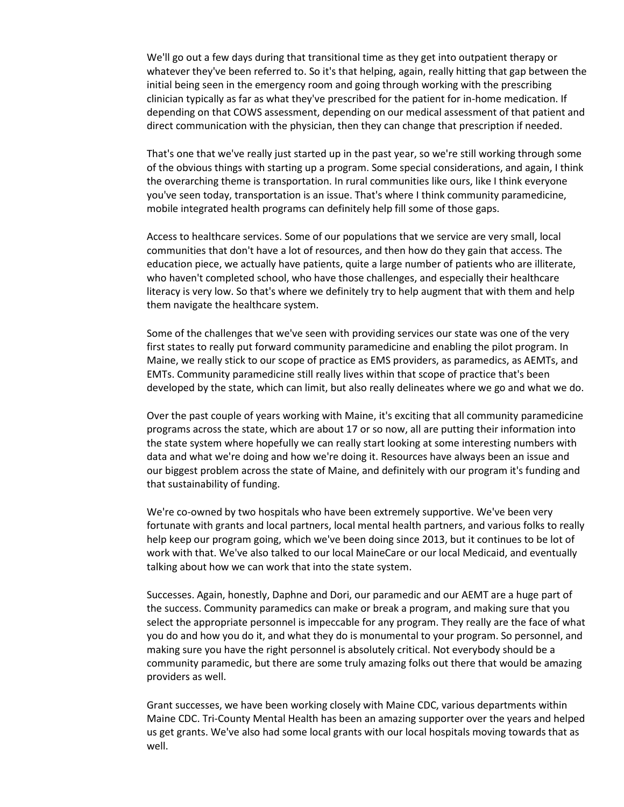We'll go out a few days during that transitional time as they get into outpatient therapy or whatever they've been referred to. So it's that helping, again, really hitting that gap between the initial being seen in the emergency room and going through working with the prescribing clinician typically as far as what they've prescribed for the patient for in-home medication. If depending on that COWS assessment, depending on our medical assessment of that patient and direct communication with the physician, then they can change that prescription if needed.

That's one that we've really just started up in the past year, so we're still working through some of the obvious things with starting up a program. Some special considerations, and again, I think the overarching theme is transportation. In rural communities like ours, like I think everyone you've seen today, transportation is an issue. That's where I think community paramedicine, mobile integrated health programs can definitely help fill some of those gaps.

Access to healthcare services. Some of our populations that we service are very small, local communities that don't have a lot of resources, and then how do they gain that access. The education piece, we actually have patients, quite a large number of patients who are illiterate, who haven't completed school, who have those challenges, and especially their healthcare literacy is very low. So that's where we definitely try to help augment that with them and help them navigate the healthcare system.

Some of the challenges that we've seen with providing services our state was one of the very first states to really put forward community paramedicine and enabling the pilot program. In Maine, we really stick to our scope of practice as EMS providers, as paramedics, as AEMTs, and EMTs. Community paramedicine still really lives within that scope of practice that's been developed by the state, which can limit, but also really delineates where we go and what we do.

Over the past couple of years working with Maine, it's exciting that all community paramedicine programs across the state, which are about 17 or so now, all are putting their information into the state system where hopefully we can really start looking at some interesting numbers with data and what we're doing and how we're doing it. Resources have always been an issue and our biggest problem across the state of Maine, and definitely with our program it's funding and that sustainability of funding.

We're co-owned by two hospitals who have been extremely supportive. We've been very fortunate with grants and local partners, local mental health partners, and various folks to really help keep our program going, which we've been doing since 2013, but it continues to be lot of work with that. We've also talked to our local MaineCare or our local Medicaid, and eventually talking about how we can work that into the state system.

Successes. Again, honestly, Daphne and Dori, our paramedic and our AEMT are a huge part of the success. Community paramedics can make or break a program, and making sure that you select the appropriate personnel is impeccable for any program. They really are the face of what you do and how you do it, and what they do is monumental to your program. So personnel, and making sure you have the right personnel is absolutely critical. Not everybody should be a community paramedic, but there are some truly amazing folks out there that would be amazing providers as well.

Grant successes, we have been working closely with Maine CDC, various departments within Maine CDC. Tri-County Mental Health has been an amazing supporter over the years and helped us get grants. We've also had some local grants with our local hospitals moving towards that as well.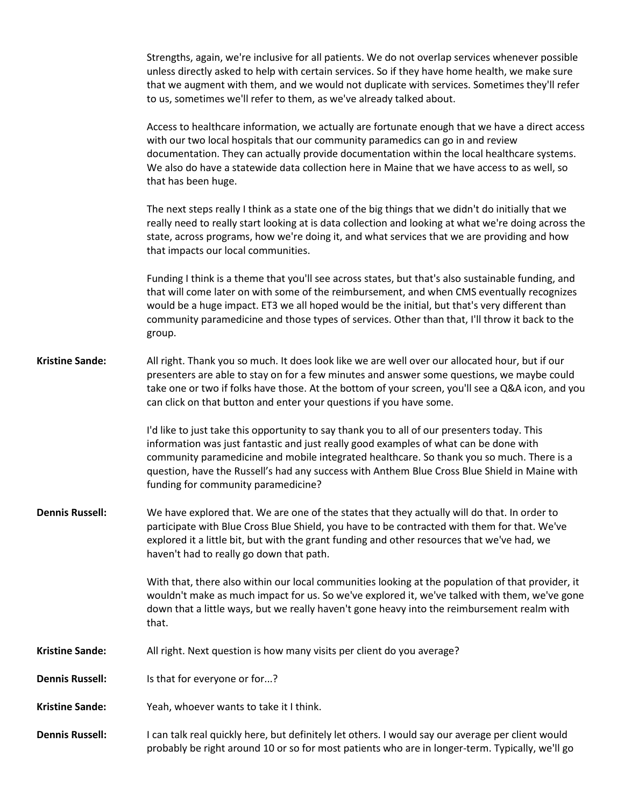|                        | Strengths, again, we're inclusive for all patients. We do not overlap services whenever possible<br>unless directly asked to help with certain services. So if they have home health, we make sure<br>that we augment with them, and we would not duplicate with services. Sometimes they'll refer<br>to us, sometimes we'll refer to them, as we've already talked about.                                                 |
|------------------------|----------------------------------------------------------------------------------------------------------------------------------------------------------------------------------------------------------------------------------------------------------------------------------------------------------------------------------------------------------------------------------------------------------------------------|
|                        | Access to healthcare information, we actually are fortunate enough that we have a direct access<br>with our two local hospitals that our community paramedics can go in and review<br>documentation. They can actually provide documentation within the local healthcare systems.<br>We also do have a statewide data collection here in Maine that we have access to as well, so<br>that has been huge.                   |
|                        | The next steps really I think as a state one of the big things that we didn't do initially that we<br>really need to really start looking at is data collection and looking at what we're doing across the<br>state, across programs, how we're doing it, and what services that we are providing and how<br>that impacts our local communities.                                                                           |
|                        | Funding I think is a theme that you'll see across states, but that's also sustainable funding, and<br>that will come later on with some of the reimbursement, and when CMS eventually recognizes<br>would be a huge impact. ET3 we all hoped would be the initial, but that's very different than<br>community paramedicine and those types of services. Other than that, I'll throw it back to the<br>group.              |
| <b>Kristine Sande:</b> | All right. Thank you so much. It does look like we are well over our allocated hour, but if our<br>presenters are able to stay on for a few minutes and answer some questions, we maybe could<br>take one or two if folks have those. At the bottom of your screen, you'll see a Q&A icon, and you<br>can click on that button and enter your questions if you have some.                                                  |
|                        | I'd like to just take this opportunity to say thank you to all of our presenters today. This<br>information was just fantastic and just really good examples of what can be done with<br>community paramedicine and mobile integrated healthcare. So thank you so much. There is a<br>question, have the Russell's had any success with Anthem Blue Cross Blue Shield in Maine with<br>funding for community paramedicine? |
| <b>Dennis Russell:</b> | We have explored that. We are one of the states that they actually will do that. In order to<br>participate with Blue Cross Blue Shield, you have to be contracted with them for that. We've<br>explored it a little bit, but with the grant funding and other resources that we've had, we<br>haven't had to really go down that path.                                                                                    |
|                        | With that, there also within our local communities looking at the population of that provider, it<br>wouldn't make as much impact for us. So we've explored it, we've talked with them, we've gone<br>down that a little ways, but we really haven't gone heavy into the reimbursement realm with<br>that.                                                                                                                 |
| <b>Kristine Sande:</b> | All right. Next question is how many visits per client do you average?                                                                                                                                                                                                                                                                                                                                                     |
| <b>Dennis Russell:</b> | Is that for everyone or for?                                                                                                                                                                                                                                                                                                                                                                                               |
| <b>Kristine Sande:</b> | Yeah, whoever wants to take it I think.                                                                                                                                                                                                                                                                                                                                                                                    |
| <b>Dennis Russell:</b> | I can talk real quickly here, but definitely let others. I would say our average per client would<br>probably be right around 10 or so for most patients who are in longer-term. Typically, we'll go                                                                                                                                                                                                                       |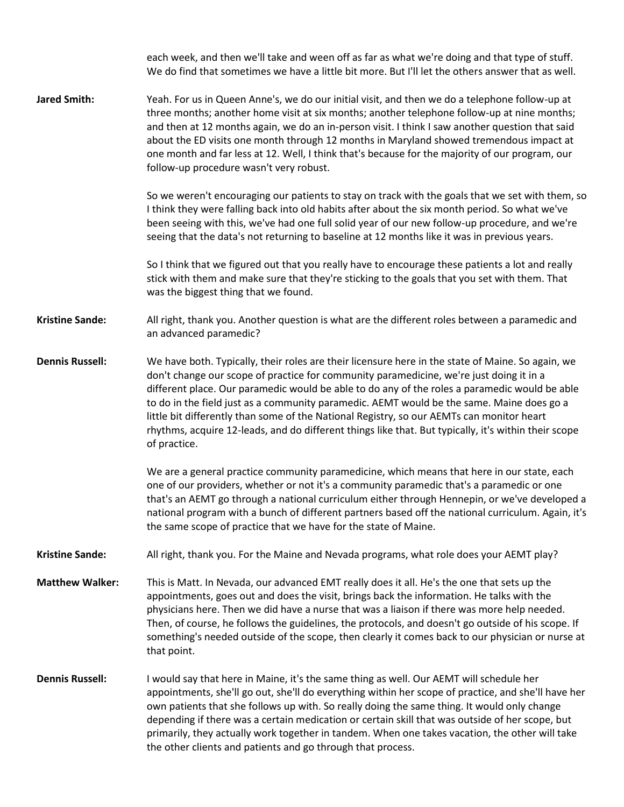each week, and then we'll take and ween off as far as what we're doing and that type of stuff. We do find that sometimes we have a little bit more. But I'll let the others answer that as well. **Jared Smith:** Yeah. For us in Queen Anne's, we do our initial visit, and then we do a telephone follow-up at three months; another home visit at six months; another telephone follow-up at nine months; and then at 12 months again, we do an in-person visit. I think I saw another question that said about the ED visits one month through 12 months in Maryland showed tremendous impact at one month and far less at 12. Well, I think that's because for the majority of our program, our follow-up procedure wasn't very robust. So we weren't encouraging our patients to stay on track with the goals that we set with them, so I think they were falling back into old habits after about the six month period. So what we've been seeing with this, we've had one full solid year of our new follow-up procedure, and we're seeing that the data's not returning to baseline at 12 months like it was in previous years. So I think that we figured out that you really have to encourage these patients a lot and really stick with them and make sure that they're sticking to the goals that you set with them. That was the biggest thing that we found. **Kristine Sande:** All right, thank you. Another question is what are the different roles between a paramedic and an advanced paramedic? **Dennis Russell:** We have both. Typically, their roles are their licensure here in the state of Maine. So again, we don't change our scope of practice for community paramedicine, we're just doing it in a different place. Our paramedic would be able to do any of the roles a paramedic would be able to do in the field just as a community paramedic. AEMT would be the same. Maine does go a little bit differently than some of the National Registry, so our AEMTs can monitor heart rhythms, acquire 12-leads, and do different things like that. But typically, it's within their scope of practice. We are a general practice community paramedicine, which means that here in our state, each one of our providers, whether or not it's a community paramedic that's a paramedic or one that's an AEMT go through a national curriculum either through Hennepin, or we've developed a national program with a bunch of different partners based off the national curriculum. Again, it's the same scope of practice that we have for the state of Maine. **Kristine Sande:** All right, thank you. For the Maine and Nevada programs, what role does your AEMT play? **Matthew Walker:** This is Matt. In Nevada, our advanced EMT really does it all. He's the one that sets up the appointments, goes out and does the visit, brings back the information. He talks with the physicians here. Then we did have a nurse that was a liaison if there was more help needed. Then, of course, he follows the guidelines, the protocols, and doesn't go outside of his scope. If something's needed outside of the scope, then clearly it comes back to our physician or nurse at that point. **Dennis Russell:** I would say that here in Maine, it's the same thing as well. Our AEMT will schedule her appointments, she'll go out, she'll do everything within her scope of practice, and she'll have her own patients that she follows up with. So really doing the same thing. It would only change depending if there was a certain medication or certain skill that was outside of her scope, but primarily, they actually work together in tandem. When one takes vacation, the other will take the other clients and patients and go through that process.